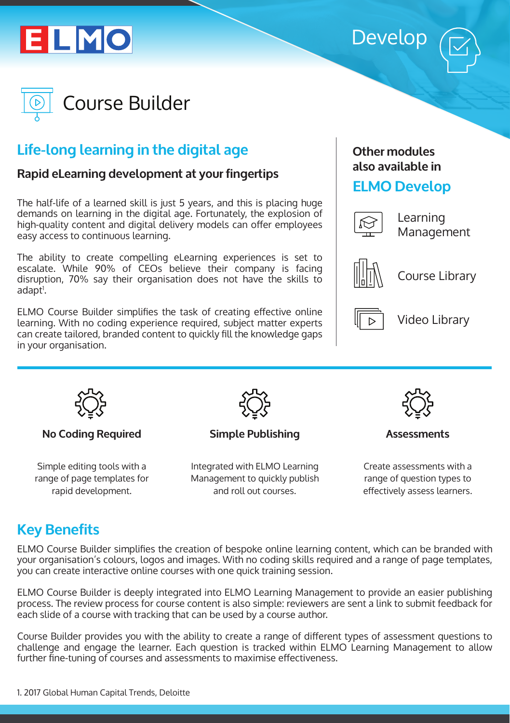





# **Life-long learning in the digital age**

#### **Rapid eLearning development at your fingertips**

The half-life of a learned skill is just 5 years, and this is placing huge demands on learning in the digital age. Fortunately, the explosion of high-quality content and digital delivery models can offer employees easy access to continuous learning.

The ability to create compelling eLearning experiences is set to escalate. While 90% of CEOs believe their company is facing disruption, 70% say their organisation does not have the skills to adapt<sup>1</sup>.

ELMO Course Builder simplifies the task of creating effective online learning. With no coding experience required, subject matter experts can create tailored, branded content to quickly fill the knowledge gaps in your organisation.

#### **Other modules also available in**

#### **ELMO Develop**



Learning Management



Course Library



Video Library



**No Coding Required**

Simple editing tools with a range of page templates for rapid development.



**Simple Publishing**

Integrated with ELMO Learning Management to quickly publish and roll out courses.



**Assessments**

Create assessments with a range of question types to effectively assess learners.

## **Key Benefits**

ELMO Course Builder simplifies the creation of bespoke online learning content, which can be branded with your organisation's colours, logos and images. With no coding skills required and a range of page templates, you can create interactive online courses with one quick training session.

ELMO Course Builder is deeply integrated into ELMO Learning Management to provide an easier publishing process. The review process for course content is also simple: reviewers are sent a link to submit feedback for each slide of a course with tracking that can be used by a course author.

Course Builder provides you with the ability to create a range of different types of assessment questions to challenge and engage the learner. Each question is tracked within ELMO Learning Management to allow further fine-tuning of courses and assessments to maximise effectiveness.